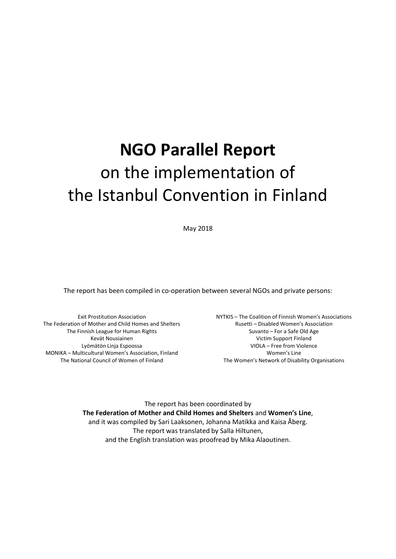# **NGO Parallel Report** on the implementation of the Istanbul Convention in Finland

May 2018

The report has been compiled in co-operation between several NGOs and private persons:

Exit Prostitution Association The Federation of Mother and Child Homes and Shelters The Finnish League for Human Rights Kevät Nousiainen Lyömätön Linja Espoossa MONIKA – Multicultural Women's Association, Finland The National Council of Women of Finland

NYTKIS – The Coalition of Finnish Women's Associations Rusetti – Disabled Women's Association Suvanto – For a Safe Old Age Victim Support Finland VIOLA – Free from Violence Women's Line The Women's Network of Disability Organisations

The report has been coordinated by **The Federation of Mother and Child Homes and Shelters** and **Women's Line**, and it was compiled by Sari Laaksonen, Johanna Matikka and Kaisa Åberg. The report was translated by Salla Hiltunen, and the English translation was proofread by Mika Alaoutinen.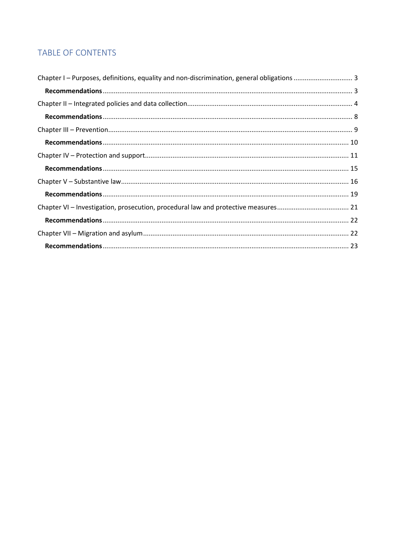# TABLE OF CONTENTS

| Chapter VI - Investigation, prosecution, procedural law and protective measures 21 |  |
|------------------------------------------------------------------------------------|--|
|                                                                                    |  |
|                                                                                    |  |
|                                                                                    |  |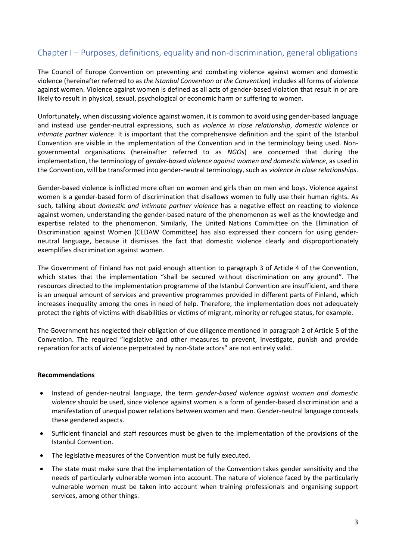# <span id="page-2-0"></span>Chapter I – Purposes, definitions, equality and non-discrimination, general obligations

The Council of Europe Convention on preventing and combating violence against women and domestic violence (hereinafter referred to as *the Istanbul Convention* or *the Convention*) includes all forms of violence against women. Violence against women is defined as all acts of gender-based violation that result in or are likely to result in physical, sexual, psychological or economic harm or suffering to women.

Unfortunately, when discussing violence against women, it is common to avoid using gender-based language and instead use gender-neutral expressions, such as *violence in close relationship*, *domestic violence* or *intimate partner violence*. It is important that the comprehensive definition and the spirit of the Istanbul Convention are visible in the implementation of the Convention and in the terminology being used. Nongovernmental organisations (hereinafter referred to as *NGOs*) are concerned that during the implementation, the terminology of *gender-based violence against women and domestic violence*, as used in the Convention, will be transformed into gender-neutral terminology, such as *violence in close relationships*.

Gender-based violence is inflicted more often on women and girls than on men and boys. Violence against women is a gender-based form of discrimination that disallows women to fully use their human rights. As such, talking about *domestic and intimate partner violence* has a negative effect on reacting to violence against women, understanding the gender-based nature of the phenomenon as well as the knowledge and expertise related to the phenomenon. Similarly, The United Nations Committee on the Elimination of Discrimination against Women (CEDAW Committee) has also expressed their concern for using genderneutral language, because it dismisses the fact that domestic violence clearly and disproportionately exemplifies discrimination against women.

The Government of Finland has not paid enough attention to paragraph 3 of Article 4 of the Convention, which states that the implementation "shall be secured without discrimination on any ground". The resources directed to the implementation programme of the Istanbul Convention are insufficient, and there is an unequal amount of services and preventive programmes provided in different parts of Finland, which increases inequality among the ones in need of help. Therefore, the implementation does not adequately protect the rights of victims with disabilities or victims of migrant, minority or refugee status, for example.

The Government has neglected their obligation of due diligence mentioned in paragraph 2 of Article 5 of the Convention. The required "legislative and other measures to prevent, investigate, punish and provide reparation for acts of violence perpetrated by non-State actors" are not entirely valid.

#### <span id="page-2-1"></span>**Recommendations**

- Instead of gender-neutral language, the term *gender-based violence against women and domestic violence* should be used, since violence against women is a form of gender-based discrimination and a manifestation of unequal power relations between women and men. Gender-neutral language conceals these gendered aspects.
- Sufficient financial and staff resources must be given to the implementation of the provisions of the Istanbul Convention.
- The legislative measures of the Convention must be fully executed.
- The state must make sure that the implementation of the Convention takes gender sensitivity and the needs of particularly vulnerable women into account. The nature of violence faced by the particularly vulnerable women must be taken into account when training professionals and organising support services, among other things.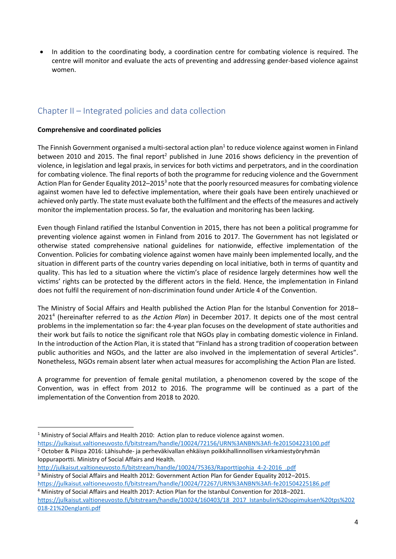In addition to the coordinating body, a coordination centre for combating violence is required. The centre will monitor and evaluate the acts of preventing and addressing gender-based violence against women.

# <span id="page-3-0"></span>Chapter II – Integrated policies and data collection

# **Comprehensive and coordinated policies**

**.** 

The Finnish Government organised a multi-sectoral action plan<sup>1</sup> to reduce violence against women in Finland between 2010 and 2015. The final report<sup>2</sup> published in June 2016 shows deficiency in the prevention of violence, in legislation and legal praxis, in services for both victims and perpetrators, and in the coordination for combating violence. The final reports of both the programme for reducing violence and the Government Action Plan for Gender Equality 2012–2015<sup>3</sup> note that the poorly resourced measures for combating violence against women have led to defective implementation, where their goals have been entirely unachieved or achieved only partly. The state must evaluate both the fulfilment and the effects of the measures and actively monitor the implementation process. So far, the evaluation and monitoring has been lacking.

Even though Finland ratified the Istanbul Convention in 2015, there has not been a political programme for preventing violence against women in Finland from 2016 to 2017. The Government has not legislated or otherwise stated comprehensive national guidelines for nationwide, effective implementation of the Convention. Policies for combating violence against women have mainly been implemented locally, and the situation in different parts of the country varies depending on local initiative, both in terms of quantity and quality. This has led to a situation where the victim's place of residence largely determines how well the victims' rights can be protected by the different actors in the field. Hence, the implementation in Finland does not fulfil the requirement of non-discrimination found under Article 4 of the Convention.

The Ministry of Social Affairs and Health published the Action Plan for the Istanbul Convention for 2018– 2021 4 (hereinafter referred to as *the Action Plan*) in December 2017. It depicts one of the most central problems in the implementation so far: the 4-year plan focuses on the development of state authorities and their work but fails to notice the significant role that NGOs play in combating domestic violence in Finland. In the introduction of the Action Plan, it is stated that "Finland has a strong tradition of cooperation between public authorities and NGOs, and the latter are also involved in the implementation of several Articles". Nonetheless, NGOs remain absent later when actual measures for accomplishing the Action Plan are listed.

A programme for prevention of female genital mutilation, a phenomenon covered by the scope of the Convention, was in effect from 2012 to 2016. The programme will be continued as a part of the implementation of the Convention from 2018 to 2020.

- <sup>1</sup> Ministry of Social Affairs and Health 2010: Action plan to reduce violence against women.
- <https://julkaisut.valtioneuvosto.fi/bitstream/handle/10024/72156/URN%3ANBN%3Afi-fe201504223100.pdf> <sup>2</sup> October & Piispa 2016: Lähisuhde- ja perheväkivallan ehkäisyn poikkihallinnollisen virkamiestyöryhmän loppuraportti. Ministry of Social Affairs and Health.

[http://julkaisut.valtioneuvosto.fi/bitstream/handle/10024/75363/Raporttipohja\\_4-2-2016\\_.pdf](http://julkaisut.valtioneuvosto.fi/bitstream/handle/10024/75363/Raporttipohja_4-2-2016_.pdf) <sup>3</sup> Ministry of Social Affairs and Health 2012: Government Action Plan for Gender Equality 2012-2015. <https://julkaisut.valtioneuvosto.fi/bitstream/handle/10024/72267/URN%3ANBN%3Afi-fe201504225186.pdf>

<sup>4</sup> Ministry of Social Affairs and Health 2017: Action Plan for the Istanbul Convention for 2018–2021. [https://julkaisut.valtioneuvosto.fi/bitstream/handle/10024/160403/18\\_2017\\_Istanbulin%20sopimuksen%20tps%202](https://julkaisut.valtioneuvosto.fi/bitstream/handle/10024/160403/18_2017_Istanbulin%20sopimuksen%20tps%202018-21%20englanti.pdf) [018-21%20englanti.pdf](https://julkaisut.valtioneuvosto.fi/bitstream/handle/10024/160403/18_2017_Istanbulin%20sopimuksen%20tps%202018-21%20englanti.pdf)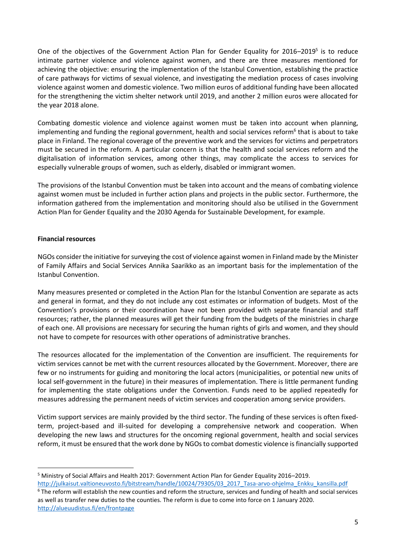One of the objectives of the Government Action Plan for Gender Equality for 2016-2019<sup>5</sup> is to reduce intimate partner violence and violence against women, and there are three measures mentioned for achieving the objective: ensuring the implementation of the Istanbul Convention, establishing the practice of care pathways for victims of sexual violence, and investigating the mediation process of cases involving violence against women and domestic violence. Two million euros of additional funding have been allocated for the strengthening the victim shelter network until 2019, and another 2 million euros were allocated for the year 2018 alone.

Combating domestic violence and violence against women must be taken into account when planning, implementing and funding the regional government, health and social services reform<sup>6</sup> that is about to take place in Finland. The regional coverage of the preventive work and the services for victims and perpetrators must be secured in the reform. A particular concern is that the health and social services reform and the digitalisation of information services, among other things, may complicate the access to services for especially vulnerable groups of women, such as elderly, disabled or immigrant women.

The provisions of the Istanbul Convention must be taken into account and the means of combating violence against women must be included in further action plans and projects in the public sector. Furthermore, the information gathered from the implementation and monitoring should also be utilised in the Government Action Plan for Gender Equality and the 2030 Agenda for Sustainable Development, for example.

# **Financial resources**

NGOs consider the initiative for surveying the cost of violence against women in Finland made by the Minister of Family Affairs and Social Services Annika Saarikko as an important basis for the implementation of the Istanbul Convention.

Many measures presented or completed in the Action Plan for the Istanbul Convention are separate as acts and general in format, and they do not include any cost estimates or information of budgets. Most of the Convention's provisions or their coordination have not been provided with separate financial and staff resources; rather, the planned measures will get their funding from the budgets of the ministries in charge of each one. All provisions are necessary for securing the human rights of girls and women, and they should not have to compete for resources with other operations of administrative branches.

The resources allocated for the implementation of the Convention are insufficient. The requirements for victim services cannot be met with the current resources allocated by the Government. Moreover, there are few or no instruments for guiding and monitoring the local actors (municipalities, or potential new units of local self-government in the future) in their measures of implementation. There is little permanent funding for implementing the state obligations under the Convention. Funds need to be applied repeatedly for measures addressing the permanent needs of victim services and cooperation among service providers.

Victim support services are mainly provided by the third sector. The funding of these services is often fixedterm, project-based and ill-suited for developing a comprehensive network and cooperation. When developing the new laws and structures for the oncoming regional government, health and social services reform, it must be ensured that the work done by NGOs to combat domestic violence is financially supported

**<sup>.</sup>** <sup>5</sup> Ministry of Social Affairs and Health 2017: Government Action Plan for Gender Equality 2016–2019. [http://julkaisut.valtioneuvosto.fi/bitstream/handle/10024/79305/03\\_2017\\_Tasa-arvo-ohjelma\\_Enkku\\_kansilla.pdf](http://julkaisut.valtioneuvosto.fi/bitstream/handle/10024/79305/03_2017_Tasa-arvo-ohjelma_Enkku_kansilla.pdf)

 $6$  The reform will establish the new counties and reform the structure, services and funding of health and social services as well as transfer new duties to the counties. The reform is due to come into force on 1 January 2020. <http://alueuudistus.fi/en/frontpage>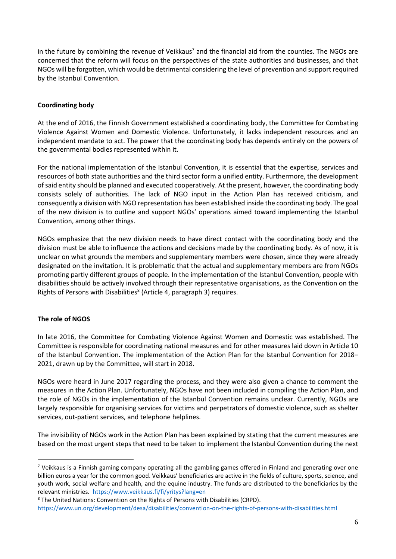in the future by combining the revenue of Veikkaus<sup>7</sup> and the financial aid from the counties. The NGOs are concerned that the reform will focus on the perspectives of the state authorities and businesses, and that NGOs will be forgotten, which would be detrimental considering the level of prevention and support required by the Istanbul Convention.

# **Coordinating body**

At the end of 2016, the Finnish Government established a coordinating body, the Committee for Combating Violence Against Women and Domestic Violence. Unfortunately, it lacks independent resources and an independent mandate to act. The power that the coordinating body has depends entirely on the powers of the governmental bodies represented within it.

For the national implementation of the Istanbul Convention, it is essential that the expertise, services and resources of both state authorities and the third sector form a unified entity. Furthermore, the development of said entity should be planned and executed cooperatively. At the present, however, the coordinating body consists solely of authorities. The lack of NGO input in the Action Plan has received criticism, and consequently a division with NGO representation has been established inside the coordinating body. The goal of the new division is to outline and support NGOs' operations aimed toward implementing the Istanbul Convention, among other things.

NGOs emphasize that the new division needs to have direct contact with the coordinating body and the division must be able to influence the actions and decisions made by the coordinating body. As of now, it is unclear on what grounds the members and supplementary members were chosen, since they were already designated on the invitation. It is problematic that the actual and supplementary members are from NGOs promoting partly different groups of people. In the implementation of the Istanbul Convention, people with disabilities should be actively involved through their representative organisations, as the Convention on the Rights of Persons with Disabilities<sup>8</sup> (Article 4, paragraph 3) requires.

# **The role of NGOS**

1

In late 2016, the Committee for Combating Violence Against Women and Domestic was established. The Committee is responsible for coordinating national measures and for other measures laid down in Article 10 of the Istanbul Convention. The implementation of the Action Plan for the Istanbul Convention for 2018– 2021, drawn up by the Committee, will start in 2018.

NGOs were heard in June 2017 regarding the process, and they were also given a chance to comment the measures in the Action Plan. Unfortunately, NGOs have not been included in compiling the Action Plan, and the role of NGOs in the implementation of the Istanbul Convention remains unclear. Currently, NGOs are largely responsible for organising services for victims and perpetrators of domestic violence, such as shelter services, out-patient services, and telephone helplines.

The invisibility of NGOs work in the Action Plan has been explained by stating that the current measures are based on the most urgent steps that need to be taken to implement the Istanbul Convention during the next

<sup>7</sup> Veikkaus is a Finnish gaming company operating all the gambling games offered in Finland and generating over one billion euros a year for the common good. Veikkaus' beneficiaries are active in the fields of culture, sports, science, and youth work, social welfare and health, and the equine industry. The funds are distributed to the beneficiaries by the relevant ministries. <https://www.veikkaus.fi/fi/yritys?lang=en>

<sup>8</sup> The United Nations: Convention on the Rights of Persons with Disabilities (CRPD).

<https://www.un.org/development/desa/disabilities/convention-on-the-rights-of-persons-with-disabilities.html>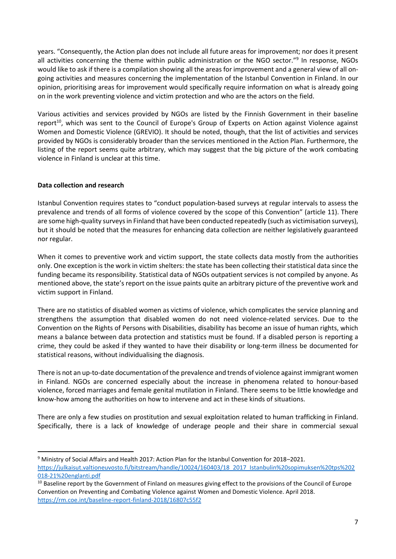years. "Consequently, the Action plan does not include all future areas for improvement; nor does it present all activities concerning the theme within public administration or the NGO sector."<sup>9</sup> In response, NGOs would like to ask if there is a compilation showing all the areas for improvement and a general view of all ongoing activities and measures concerning the implementation of the Istanbul Convention in Finland. In our opinion, prioritising areas for improvement would specifically require information on what is already going on in the work preventing violence and victim protection and who are the actors on the field.

Various activities and services provided by NGOs are listed by the Finnish Government in their baseline report<sup>10</sup>, which was sent to the Council of Europe's Group of Experts on Action against Violence against Women and Domestic Violence (GREVIO). It should be noted, though, that the list of activities and services provided by NGOs is considerably broader than the services mentioned in the Action Plan. Furthermore, the listing of the report seems quite arbitrary, which may suggest that the big picture of the work combating violence in Finland is unclear at this time.

# **Data collection and research**

**.** 

Istanbul Convention requires states to "conduct population-based surveys at regular intervals to assess the prevalence and trends of all forms of violence covered by the scope of this Convention" (article 11). There are some high-quality surveys in Finland that have been conducted repeatedly (such as victimisation surveys), but it should be noted that the measures for enhancing data collection are neither legislatively guaranteed nor regular.

When it comes to preventive work and victim support, the state collects data mostly from the authorities only. One exception is the work in victim shelters: the state has been collecting their statistical data since the funding became its responsibility. Statistical data of NGOs outpatient services is not compiled by anyone. As mentioned above, the state's report on the issue paints quite an arbitrary picture of the preventive work and victim support in Finland.

There are no statistics of disabled women as victims of violence, which complicates the service planning and strengthens the assumption that disabled women do not need violence-related services. Due to the Convention on the Rights of Persons with Disabilities, disability has become an issue of human rights, which means a balance between data protection and statistics must be found. If a disabled person is reporting a crime, they could be asked if they wanted to have their disability or long-term illness be documented for statistical reasons, without individualising the diagnosis.

There is not an up-to-date documentation of the prevalence and trends of violence against immigrant women in Finland. NGOs are concerned especially about the increase in phenomena related to honour-based violence, forced marriages and female genital mutilation in Finland. There seems to be little knowledge and know-how among the authorities on how to intervene and act in these kinds of situations.

There are only a few studies on prostitution and sexual exploitation related to human trafficking in Finland. Specifically, there is a lack of knowledge of underage people and their share in commercial sexual

<sup>9</sup> Ministry of Social Affairs and Health 2017: Action Plan for the Istanbul Convention for 2018–2021. [https://julkaisut.valtioneuvosto.fi/bitstream/handle/10024/160403/18\\_2017\\_Istanbulin%20sopimuksen%20tps%202](https://julkaisut.valtioneuvosto.fi/bitstream/handle/10024/160403/18_2017_Istanbulin%20sopimuksen%20tps%202018-21%20englanti.pdf) [018-21%20englanti.pdf](https://julkaisut.valtioneuvosto.fi/bitstream/handle/10024/160403/18_2017_Istanbulin%20sopimuksen%20tps%202018-21%20englanti.pdf)

<sup>&</sup>lt;sup>10</sup> Baseline report by the Government of Finland on measures giving effect to the provisions of the Council of Europe Convention on Preventing and Combating Violence against Women and Domestic Violence. April 2018. <https://rm.coe.int/baseline-report-finland-2018/16807c55f2>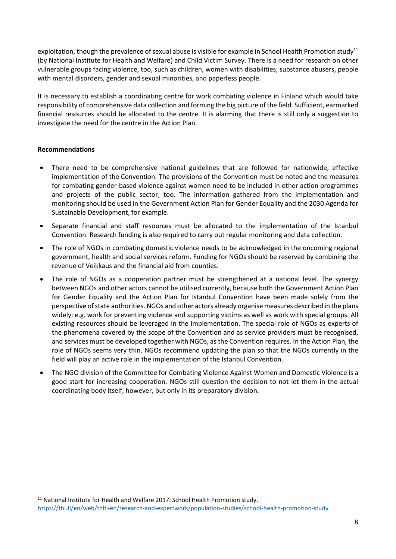exploitation, though the prevalence of sexual abuse is visible for example in School Health Promotion study<sup>11</sup> (by National Institute for Health and Welfare) and Child Victim Survey. There is a need for research on other vulnerable groups facing violence, too, such as children, women with disabilities, substance abusers, people with mental disorders, gender and sexual minorities, and paperless people.

It is necessary to establish a coordinating centre for work combating violence in Finland which would take responsibility of comprehensive data collection and forming the big picture of the field. Sufficient, earmarked financial resources should be allocated to the centre. It is alarming that there is still only a suggestion to investigate the need for the centre in the Action Plan.

## <span id="page-7-0"></span>**Recommendations**

**.** 

- There need to be comprehensive national guidelines that are followed for nationwide, effective implementation of the Convention. The provisions of the Convention must be noted and the measures for combating gender-based violence against women need to be included in other action programmes and projects of the public sector, too. The information gathered from the implementation and monitoring should be used in the Government Action Plan for Gender Equality and the 2030 Agenda for Sustainable Development, for example.
- Separate financial and staff resources must be allocated to the implementation of the Istanbul Convention. Research funding is also required to carry out regular monitoring and data collection.
- The role of NGOs in combating domestic violence needs to be acknowledged in the oncoming regional government, health and social services reform. Funding for NGOs should be reserved by combining the revenue of Veikkaus and the financial aid from counties.
- The role of NGOs as a cooperation partner must be strengthened at a national level. The synergy between NGOs and other actors cannot be utilised currently, because both the Government Action Plan for Gender Equality and the Action Plan for Istanbul Convention have been made solely from the perspective of state authorities. NGOs and other actors already organise measures described in the plans widely: e.g. work for preventing violence and supporting victims as well as work with special groups. All existing resources should be leveraged in the implementation. The special role of NGOs as experts of the phenomena covered by the scope of the Convention and as service providers must be recognised, and services must be developed together with NGOs, as the Convention requires. In the Action Plan, the role of NGOs seems very thin. NGOs recommend updating the plan so that the NGOs currently in the field will play an active role in the implementation of the Istanbul Convention.
- The NGO division of the Committee for Combating Violence Against Women and Domestic Violence is a good start for increasing cooperation. NGOs still question the decision to not let them in the actual coordinating body itself, however, but only in its preparatory division.

 $11$  National Institute for Health and Welfare 2017: School Health Promotion study. <https://thl.fi/en/web/thlfi-en/research-and-expertwork/population-studies/school-health-promotion-study>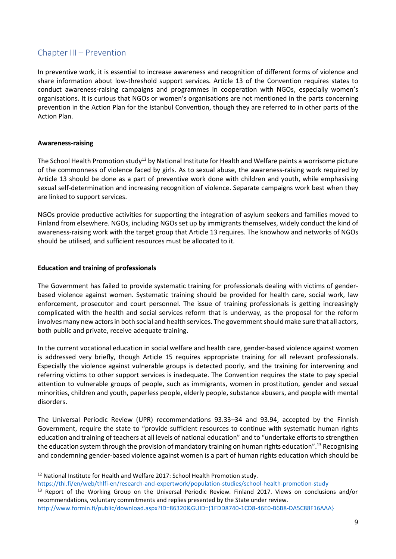# <span id="page-8-0"></span>Chapter III – Prevention

In preventive work, it is essential to increase awareness and recognition of different forms of violence and share information about low-threshold support services. Article 13 of the Convention requires states to conduct awareness-raising campaigns and programmes in cooperation with NGOs, especially women's organisations. It is curious that NGOs or women's organisations are not mentioned in the parts concerning prevention in the Action Plan for the Istanbul Convention, though they are referred to in other parts of the Action Plan.

## **Awareness-raising**

**.** 

The School Health Promotion study<sup>12</sup> by National Institute for Health and Welfare paints a worrisome picture of the commonness of violence faced by girls. As to sexual abuse, the awareness-raising work required by Article 13 should be done as a part of preventive work done with children and youth, while emphasising sexual self-determination and increasing recognition of violence. Separate campaigns work best when they are linked to support services.

NGOs provide productive activities for supporting the integration of asylum seekers and families moved to Finland from elsewhere. NGOs, including NGOs set up by immigrants themselves, widely conduct the kind of awareness-raising work with the target group that Article 13 requires. The knowhow and networks of NGOs should be utilised, and sufficient resources must be allocated to it.

## **Education and training of professionals**

The Government has failed to provide systematic training for professionals dealing with victims of genderbased violence against women. Systematic training should be provided for health care, social work, law enforcement, prosecutor and court personnel. The issue of training professionals is getting increasingly complicated with the health and social services reform that is underway, as the proposal for the reform involves many new actors in both social and health services. The government should make sure that all actors, both public and private, receive adequate training.

In the current vocational education in social welfare and health care, gender-based violence against women is addressed very briefly, though Article 15 requires appropriate training for all relevant professionals. Especially the violence against vulnerable groups is detected poorly, and the training for intervening and referring victims to other support services is inadequate. The Convention requires the state to pay special attention to vulnerable groups of people, such as immigrants, women in prostitution, gender and sexual minorities, children and youth, paperless people, elderly people, substance abusers, and people with mental disorders.

The Universal Periodic Review (UPR) recommendations 93.33–34 and 93.94, accepted by the Finnish Government, require the state to "provide sufficient resources to continue with systematic human rights education and training of teachers at all levels of national education" and to "undertake efforts to strengthen the education system through the provision of mandatory training on human rights education". <sup>13</sup> Recognising and condemning gender-based violence against women is a part of human rights education which should be

<sup>&</sup>lt;sup>12</sup> National Institute for Health and Welfare 2017: School Health Promotion study. <https://thl.fi/en/web/thlfi-en/research-and-expertwork/population-studies/school-health-promotion-study>

<sup>&</sup>lt;sup>13</sup> Report of the Working Group on the Universal Periodic Review. Finland 2017. Views on conclusions and/or recommendations, voluntary commitments and replies presented by the State under review.

[http://www.formin.fi/public/download.aspx?ID=86320&GUID={1FDD8740-1CD8-46E0-B6B8-DA5C88F16AAA}](http://www.formin.fi/public/download.aspx?ID=86320&GUID=%7b1FDD8740-1CD8-46E0-B6B8-DA5C88F16AAA%7d)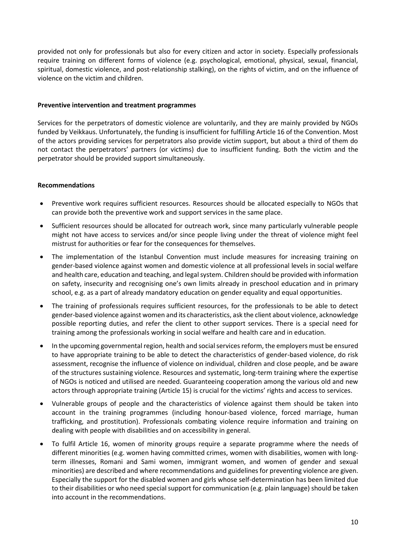provided not only for professionals but also for every citizen and actor in society. Especially professionals require training on different forms of violence (e.g. psychological, emotional, physical, sexual, financial, spiritual, domestic violence, and post-relationship stalking), on the rights of victim, and on the influence of violence on the victim and children.

#### **Preventive intervention and treatment programmes**

Services for the perpetrators of domestic violence are voluntarily, and they are mainly provided by NGOs funded by Veikkaus. Unfortunately, the funding is insufficient for fulfilling Article 16 of the Convention. Most of the actors providing services for perpetrators also provide victim support, but about a third of them do not contact the perpetrators' partners (or victims) due to insufficient funding. Both the victim and the perpetrator should be provided support simultaneously.

## <span id="page-9-0"></span>**Recommendations**

- Preventive work requires sufficient resources. Resources should be allocated especially to NGOs that can provide both the preventive work and support services in the same place.
- Sufficient resources should be allocated for outreach work, since many particularly vulnerable people might not have access to services and/or since people living under the threat of violence might feel mistrust for authorities or fear for the consequences for themselves.
- The implementation of the Istanbul Convention must include measures for increasing training on gender-based violence against women and domestic violence at all professional levels in social welfare and health care, education and teaching, and legal system. Children should be provided with information on safety, insecurity and recognising one's own limits already in preschool education and in primary school, e.g. as a part of already mandatory education on gender equality and equal opportunities.
- The training of professionals requires sufficient resources, for the professionals to be able to detect gender-based violence against women and its characteristics, ask the client about violence, acknowledge possible reporting duties, and refer the client to other support services. There is a special need for training among the professionals working in social welfare and health care and in education.
- In the upcoming governmental region, health and social services reform, the employers must be ensured to have appropriate training to be able to detect the characteristics of gender-based violence, do risk assessment, recognise the influence of violence on individual, children and close people, and be aware of the structures sustaining violence. Resources and systematic, long-term training where the expertise of NGOs is noticed and utilised are needed. Guaranteeing cooperation among the various old and new actors through appropriate training (Article 15) is crucial for the victims' rights and access to services.
- Vulnerable groups of people and the characteristics of violence against them should be taken into account in the training programmes (including honour-based violence, forced marriage, human trafficking, and prostitution). Professionals combating violence require information and training on dealing with people with disabilities and on accessibility in general.
- To fulfil Article 16, women of minority groups require a separate programme where the needs of different minorities (e.g. women having committed crimes, women with disabilities, women with longterm illnesses, Romani and Sami women, immigrant women, and women of gender and sexual minorities) are described and where recommendations and guidelines for preventing violence are given. Especially the support for the disabled women and girls whose self-determination has been limited due to their disabilities or who need special support for communication (e.g. plain language) should be taken into account in the recommendations.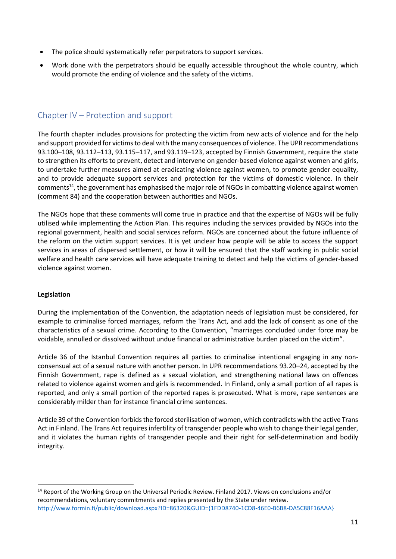- The police should systematically refer perpetrators to support services.
- Work done with the perpetrators should be equally accessible throughout the whole country, which would promote the ending of violence and the safety of the victims.

# <span id="page-10-0"></span>Chapter IV – Protection and support

The fourth chapter includes provisions for protecting the victim from new acts of violence and for the help and support provided for victims to deal with the many consequences of violence. The UPR recommendations 93.100–108, 93.112–113, 93.115–117, and 93.119–123, accepted by Finnish Government, require the state to strengthen its efforts to prevent, detect and intervene on gender-based violence against women and girls, to undertake further measures aimed at eradicating violence against women, to promote gender equality, and to provide adequate support services and protection for the victims of domestic violence. In their comments<sup>14</sup>, the government has emphasised the major role of NGOs in combatting violence against women (comment 84) and the cooperation between authorities and NGOs.

The NGOs hope that these comments will come true in practice and that the expertise of NGOs will be fully utilised while implementing the Action Plan. This requires including the services provided by NGOs into the regional government, health and social services reform. NGOs are concerned about the future influence of the reform on the victim support services. It is yet unclear how people will be able to access the support services in areas of dispersed settlement, or how it will be ensured that the staff working in public social welfare and health care services will have adequate training to detect and help the victims of gender-based violence against women.

#### **Legislation**

**.** 

During the implementation of the Convention, the adaptation needs of legislation must be considered, for example to criminalise forced marriages, reform the Trans Act, and add the lack of consent as one of the characteristics of a sexual crime. According to the Convention, "marriages concluded under force may be voidable, annulled or dissolved without undue financial or administrative burden placed on the victim".

Article 36 of the Istanbul Convention requires all parties to criminalise intentional engaging in any nonconsensual act of a sexual nature with another person. In UPR recommendations 93.20–24, accepted by the Finnish Government, rape is defined as a sexual violation, and strengthening national laws on offences related to violence against women and girls is recommended. In Finland, only a small portion of all rapes is reported, and only a small portion of the reported rapes is prosecuted. What is more, rape sentences are considerably milder than for instance financial crime sentences.

Article 39 of the Convention forbids the forced sterilisation of women, which contradicts with the active Trans Act in Finland. The Trans Act requires infertility of transgender people who wish to change their legal gender, and it violates the human rights of transgender people and their right for self-determination and bodily integrity.

<sup>14</sup> Report of the Working Group on the Universal Periodic Review. Finland 2017. Views on conclusions and/or recommendations, voluntary commitments and replies presented by the State under review. [http://www.formin.fi/public/download.aspx?ID=86320&GUID={1FDD8740-1CD8-46E0-B6B8-DA5C88F16AAA}](http://www.formin.fi/public/download.aspx?ID=86320&GUID=%7b1FDD8740-1CD8-46E0-B6B8-DA5C88F16AAA%7d)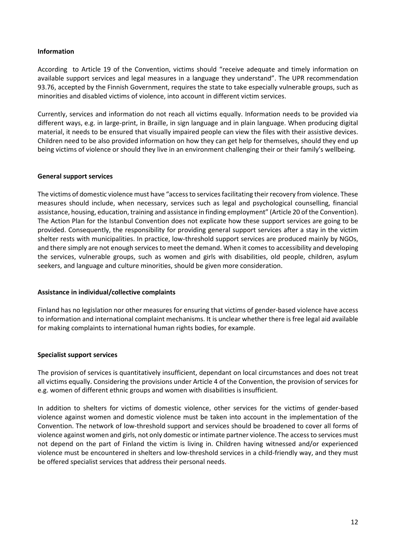#### **Information**

According to Article 19 of the Convention, victims should "receive adequate and timely information on available support services and legal measures in a language they understand". The UPR recommendation 93.76, accepted by the Finnish Government, requires the state to take especially vulnerable groups, such as minorities and disabled victims of violence, into account in different victim services.

Currently, services and information do not reach all victims equally. Information needs to be provided via different ways, e.g. in large-print, in Braille, in sign language and in plain language. When producing digital material, it needs to be ensured that visually impaired people can view the files with their assistive devices. Children need to be also provided information on how they can get help for themselves, should they end up being victims of violence or should they live in an environment challenging their or their family's wellbeing.

#### **General support services**

The victims of domestic violence must have "access to services facilitating their recovery from violence. These measures should include, when necessary, services such as legal and psychological counselling, financial assistance, housing, education, training and assistance in finding employment" (Article 20 of the Convention). The Action Plan for the Istanbul Convention does not explicate how these support services are going to be provided. Consequently, the responsibility for providing general support services after a stay in the victim shelter rests with municipalities. In practice, low-threshold support services are produced mainly by NGOs, and there simply are not enough services to meet the demand. When it comes to accessibility and developing the services, vulnerable groups, such as women and girls with disabilities, old people, children, asylum seekers, and language and culture minorities, should be given more consideration.

#### **Assistance in individual/collective complaints**

Finland has no legislation nor other measures for ensuring that victims of gender-based violence have access to information and international complaint mechanisms. It is unclear whether there is free legal aid available for making complaints to international human rights bodies, for example.

#### **Specialist support services**

The provision of services is quantitatively insufficient, dependant on local circumstances and does not treat all victims equally. Considering the provisions under Article 4 of the Convention, the provision of services for e.g. women of different ethnic groups and women with disabilities is insufficient.

In addition to shelters for victims of domestic violence, other services for the victims of gender-based violence against women and domestic violence must be taken into account in the implementation of the Convention. The network of low-threshold support and services should be broadened to cover all forms of violence against women and girls, not only domestic or intimate partner violence. The access to services must not depend on the part of Finland the victim is living in. Children having witnessed and/or experienced violence must be encountered in shelters and low-threshold services in a child-friendly way, and they must be offered specialist services that address their personal needs.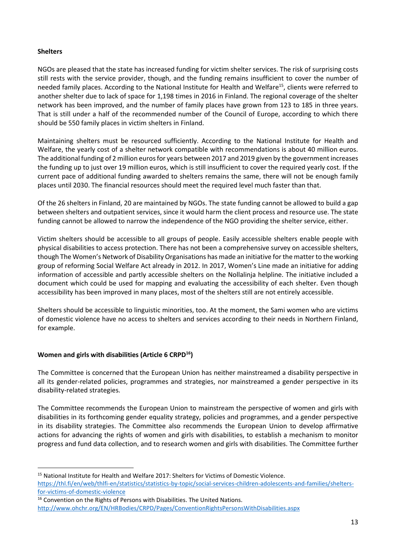## **Shelters**

**.** 

NGOs are pleased that the state has increased funding for victim shelter services. The risk of surprising costs still rests with the service provider, though, and the funding remains insufficient to cover the number of needed family places. According to the National Institute for Health and Welfare<sup>15</sup>, clients were referred to another shelter due to lack of space for 1,198 times in 2016 in Finland. The regional coverage of the shelter network has been improved, and the number of family places have grown from 123 to 185 in three years. That is still under a half of the recommended number of the Council of Europe, according to which there should be 550 family places in victim shelters in Finland.

Maintaining shelters must be resourced sufficiently. According to the National Institute for Health and Welfare, the yearly cost of a shelter network compatible with recommendations is about 40 million euros. The additional funding of 2 million euros for years between 2017 and 2019 given by the government increases the funding up to just over 19 million euros, which is still insufficient to cover the required yearly cost. If the current pace of additional funding awarded to shelters remains the same, there will not be enough family places until 2030. The financial resources should meet the required level much faster than that.

Of the 26 shelters in Finland, 20 are maintained by NGOs. The state funding cannot be allowed to build a gap between shelters and outpatient services, since it would harm the client process and resource use. The state funding cannot be allowed to narrow the independence of the NGO providing the shelter service, either.

Victim shelters should be accessible to all groups of people. Easily accessible shelters enable people with physical disabilities to access protection. There has not been a comprehensive survey on accessible shelters, though The Women's Network of Disability Organisations has made an initiative for the matter to the working group of reforming Social Welfare Act already in 2012. In 2017, Women's Line made an initiative for adding information of accessible and partly accessible shelters on the Nollalinja helpline. The initiative included a document which could be used for mapping and evaluating the accessibility of each shelter. Even though accessibility has been improved in many places, most of the shelters still are not entirely accessible.

Shelters should be accessible to linguistic minorities, too. At the moment, the Sami women who are victims of domestic violence have no access to shelters and services according to their needs in Northern Finland, for example.

# **Women and girls with disabilities (Article 6 CRPD<sup>16</sup>)**

The Committee is concerned that the European Union has neither mainstreamed a disability perspective in all its gender-related policies, programmes and strategies, nor mainstreamed a gender perspective in its disability-related strategies.

The Committee recommends the European Union to mainstream the perspective of women and girls with disabilities in its forthcoming gender equality strategy, policies and programmes, and a gender perspective in its disability strategies. The Committee also recommends the European Union to develop affirmative actions for advancing the rights of women and girls with disabilities, to establish a mechanism to monitor progress and fund data collection, and to research women and girls with disabilities. The Committee further

<sup>&</sup>lt;sup>15</sup> National Institute for Health and Welfare 2017: Shelters for Victims of Domestic Violence. [https://thl.fi/en/web/thlfi-en/statistics/statistics-by-topic/social-services-children-adolescents-and-families/shelters](https://thl.fi/en/web/thlfi-en/statistics/statistics-by-topic/social-services-children-adolescents-and-families/shelters-for-victims-of-domestic-violence)[for-victims-of-domestic-violence](https://thl.fi/en/web/thlfi-en/statistics/statistics-by-topic/social-services-children-adolescents-and-families/shelters-for-victims-of-domestic-violence)

<sup>&</sup>lt;sup>16</sup> Convention on the Rights of Persons with Disabilities. The United Nations. <http://www.ohchr.org/EN/HRBodies/CRPD/Pages/ConventionRightsPersonsWithDisabilities.aspx>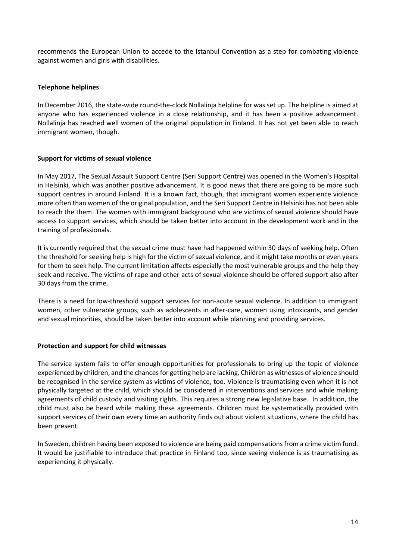recommends the European Union to accede to the Istanbul Convention as a step for combating violence against women and girls with disabilities.

## **Telephone helplines**

In December 2016, the state-wide round-the-clock Nollalinja helpline for was set up. The helpline is aimed at anyone who has experienced violence in a close relationship, and it has been a positive advancement. Nollalinja has reached well women of the original population in Finland. It has not yet been able to reach immigrant women, though.

## **Support for victims of sexual violence**

In May 2017, The Sexual Assault Support Centre (Seri Support Centre) was opened in the Women's Hospital in Helsinki, which was another positive advancement. It is good news that there are going to be more such support centres in around Finland. It is a known fact, though, that immigrant women experience violence more often than women of the original population, and the Seri Support Centre in Helsinki has not been able to reach the them. The women with immigrant background who are victims of sexual violence should have access to support services, which should be taken better into account in the development work and in the training of professionals.

It is currently required that the sexual crime must have had happened within 30 days of seeking help. Often the threshold forseeking help is high for the victim of sexual violence, and it might take months or even years for them to seek help. The current limitation affects especially the most vulnerable groups and the help they seek and receive. The victims of rape and other acts of sexual violence should be offered support also after 30 days from the crime.

There is a need for low-threshold support services for non-acute sexual violence. In addition to immigrant women, other vulnerable groups, such as adolescents in after-care, women using intoxicants, and gender and sexual minorities, should be taken better into account while planning and providing services.

#### **Protection and support for child witnesses**

The service system fails to offer enough opportunities for professionals to bring up the topic of violence experienced by children, and the chances for getting help are lacking. Children as witnesses of violence should be recognised in the service system as victims of violence, too. Violence is traumatising even when it is not physically targeted at the child, which should be considered in interventions and services and while making agreements of child custody and visiting rights. This requires a strong new legislative base. In addition, the child must also be heard while making these agreements. Children must be systematically provided with support services of their own every time an authority finds out about violent situations, where the child has been present.

In Sweden, children having been exposed to violence are being paid compensations from a crime victim fund. It would be justifiable to introduce that practice in Finland too, since seeing violence is as traumatising as experiencing it physically.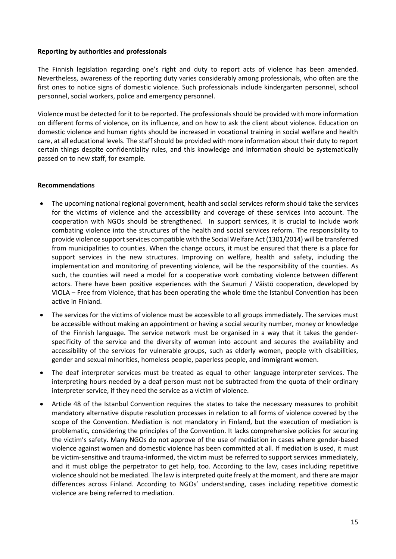#### **Reporting by authorities and professionals**

The Finnish legislation regarding one's right and duty to report acts of violence has been amended. Nevertheless, awareness of the reporting duty varies considerably among professionals, who often are the first ones to notice signs of domestic violence. Such professionals include kindergarten personnel, school personnel, social workers, police and emergency personnel.

Violence must be detected for it to be reported. The professionals should be provided with more information on different forms of violence, on its influence, and on how to ask the client about violence. Education on domestic violence and human rights should be increased in vocational training in social welfare and health care, at all educational levels. The staff should be provided with more information about their duty to report certain things despite confidentiality rules, and this knowledge and information should be systematically passed on to new staff, for example.

#### <span id="page-14-0"></span>**Recommendations**

- The upcoming national regional government, health and social services reform should take the services for the victims of violence and the accessibility and coverage of these services into account. The cooperation with NGOs should be strengthened. In support services, it is crucial to include work combating violence into the structures of the health and social services reform. The responsibility to provide violence support services compatible with the Social Welfare Act (1301/2014) will be transferred from municipalities to counties. When the change occurs, it must be ensured that there is a place for support services in the new structures. Improving on welfare, health and safety, including the implementation and monitoring of preventing violence, will be the responsibility of the counties. As such, the counties will need a model for a cooperative work combating violence between different actors. There have been positive experiences with the Saumuri / Väistö cooperation, developed by VIOLA – Free from Violence, that has been operating the whole time the Istanbul Convention has been active in Finland.
- The services for the victims of violence must be accessible to all groups immediately. The services must be accessible without making an appointment or having a social security number, money or knowledge of the Finnish language. The service network must be organised in a way that it takes the genderspecificity of the service and the diversity of women into account and secures the availability and accessibility of the services for vulnerable groups, such as elderly women, people with disabilities, gender and sexual minorities, homeless people, paperless people, and immigrant women.
- The deaf interpreter services must be treated as equal to other language interpreter services. The interpreting hours needed by a deaf person must not be subtracted from the quota of their ordinary interpreter service, if they need the service as a victim of violence.
- Article 48 of the Istanbul Convention requires the states to take the necessary measures to prohibit mandatory alternative dispute resolution processes in relation to all forms of violence covered by the scope of the Convention. Mediation is not mandatory in Finland, but the execution of mediation is problematic, considering the principles of the Convention. It lacks comprehensive policies for securing the victim's safety. Many NGOs do not approve of the use of mediation in cases where gender-based violence against women and domestic violence has been committed at all. If mediation is used, it must be victim-sensitive and trauma-informed, the victim must be referred to support services immediately, and it must oblige the perpetrator to get help, too. According to the law, cases including repetitive violence should not be mediated. The law is interpreted quite freely at the moment, and there are major differences across Finland. According to NGOs' understanding, cases including repetitive domestic violence are being referred to mediation.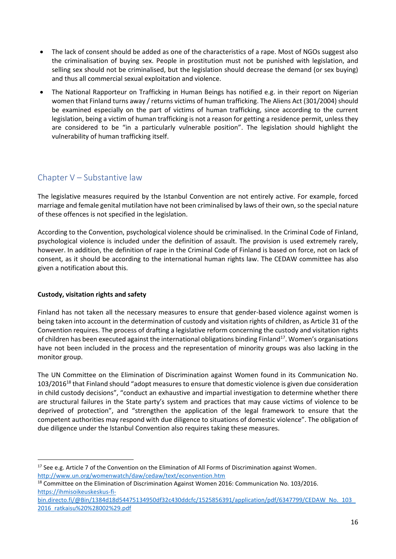- The lack of consent should be added as one of the characteristics of a rape. Most of NGOs suggest also the criminalisation of buying sex. People in prostitution must not be punished with legislation, and selling sex should not be criminalised, but the legislation should decrease the demand (or sex buying) and thus all commercial sexual exploitation and violence.
- The National Rapporteur on Trafficking in Human Beings has notified e.g. in their report on Nigerian women that Finland turns away / returns victims of human trafficking. The Aliens Act (301/2004) should be examined especially on the part of victims of human trafficking, since according to the current legislation, being a victim of human trafficking is not a reason for getting a residence permit, unless they are considered to be "in a particularly vulnerable position". The legislation should highlight the vulnerability of human trafficking itself.

# <span id="page-15-0"></span>Chapter V – Substantive law

The legislative measures required by the Istanbul Convention are not entirely active. For example, forced marriage and female genital mutilation have not been criminalised by laws of their own, so the special nature of these offences is not specified in the legislation.

According to the Convention, psychological violence should be criminalised. In the Criminal Code of Finland, psychological violence is included under the definition of assault. The provision is used extremely rarely, however. In addition, the definition of rape in the Criminal Code of Finland is based on force, not on lack of consent, as it should be according to the international human rights law. The CEDAW committee has also given a notification about this.

# **Custody, visitation rights and safety**

1

Finland has not taken all the necessary measures to ensure that gender-based violence against women is being taken into account in the determination of custody and visitation rights of children, as Article 31 of the Convention requires. The process of drafting a legislative reform concerning the custody and visitation rights of children has been executed against the international obligations binding Finland<sup>17</sup>. Women's organisations have not been included in the process and the representation of minority groups was also lacking in the monitor group.

The UN Committee on the Elimination of Discrimination against Women found in its Communication No. 103/2016<sup>18</sup> that Finland should "adopt measures to ensure that domestic violence is given due consideration in child custody decisions", "conduct an exhaustive and impartial investigation to determine whether there are structural failures in the State party's system and practices that may cause victims of violence to be deprived of protection", and "strengthen the application of the legal framework to ensure that the competent authorities may respond with due diligence to situations of domestic violence". The obligation of due diligence under the Istanbul Convention also requires taking these measures.

<sup>&</sup>lt;sup>17</sup> See e.g. Article 7 of the Convention on the Elimination of All Forms of Discrimination against Women. <http://www.un.org/womenwatch/daw/cedaw/text/econvention.htm>

<sup>&</sup>lt;sup>18</sup> Committee on the Elimination of Discrimination Against Women 2016: Communication No. 103/2016. [https://ihmisoikeuskeskus-fi-](https://ihmisoikeuskeskus-fi-bin.directo.fi/@Bin/1384d18d54475134950df32c430ddcfc/1525856391/application/pdf/6347799/CEDAW_No._103_2016_ratkaisu%20%28002%29.pdf)

[bin.directo.fi/@Bin/1384d18d54475134950df32c430ddcfc/1525856391/application/pdf/6347799/CEDAW\\_No.\\_103\\_](https://ihmisoikeuskeskus-fi-bin.directo.fi/@Bin/1384d18d54475134950df32c430ddcfc/1525856391/application/pdf/6347799/CEDAW_No._103_2016_ratkaisu%20%28002%29.pdf) [2016\\_ratkaisu%20%28002%29.pdf](https://ihmisoikeuskeskus-fi-bin.directo.fi/@Bin/1384d18d54475134950df32c430ddcfc/1525856391/application/pdf/6347799/CEDAW_No._103_2016_ratkaisu%20%28002%29.pdf)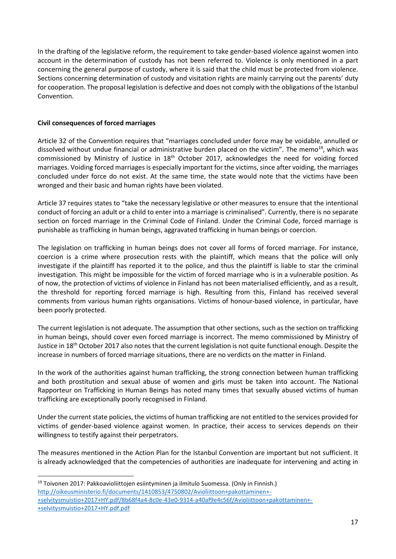In the drafting of the legislative reform, the requirement to take gender-based violence against women into account in the determination of custody has not been referred to. Violence is only mentioned in a part concerning the general purpose of custody, where it is said that the child must be protected from violence. Sections concerning determination of custody and visitation rights are mainly carrying out the parents' duty for cooperation. The proposal legislation is defective and does not comply with the obligations of the Istanbul Convention.

## **Civil consequences of forced marriages**

Article 32 of the Convention requires that "marriages concluded under force may be voidable, annulled or dissolved without undue financial or administrative burden placed on the victim". The memo<sup>19</sup>, which was commissioned by Ministry of Justice in  $18<sup>th</sup>$  October 2017, acknowledges the need for voiding forced marriages. Voiding forced marriages is especially important for the victims, since after voiding, the marriages concluded under force do not exist. At the same time, the state would note that the victims have been wronged and their basic and human rights have been violated.

Article 37 requires states to "take the necessary legislative or other measures to ensure that the intentional conduct of forcing an adult or a child to enter into a marriage is criminalised". Currently, there is no separate section on forced marriage in the Criminal Code of Finland. Under the Criminal Code, forced marriage is punishable as trafficking in human beings, aggravated trafficking in human beings or coercion.

The legislation on trafficking in human beings does not cover all forms of forced marriage. For instance, coercion is a crime where prosecution rests with the plaintiff, which means that the police will only investigate if the plaintiff has reported it to the police, and thus the plaintiff is liable to star the criminal investigation. This might be impossible for the victim of forced marriage who is in a vulnerable position. As of now, the protection of victims of violence in Finland has not been materialised efficiently, and as a result, the threshold for reporting forced marriage is high. Resulting from this, Finland has received several comments from various human rights organisations. Victims of honour-based violence, in particular, have been poorly protected.

The current legislation is not adequate. The assumption that other sections, such as the section on trafficking in human beings, should cover even forced marriage is incorrect. The memo commissioned by Ministry of Justice in 18<sup>th</sup> October 2017 also notes that the current legislation is not quite functional enough. Despite the increase in numbers of forced marriage situations, there are no verdicts on the matter in Finland.

In the work of the authorities against human trafficking, the strong connection between human trafficking and both prostitution and sexual abuse of women and girls must be taken into account. The National Rapporteur on Trafficking in Human Beings has noted many times that sexually abused victims of human trafficking are exceptionally poorly recognised in Finland.

Under the current state policies, the victims of human trafficking are not entitled to the services provided for victims of gender-based violence against women. In practice, their access to services depends on their willingness to testify against their perpetrators.

The measures mentioned in the Action Plan for the Istanbul Convention are important but not sufficient. It is already acknowledged that the competencies of authorities are inadequate for intervening and acting in

**<sup>.</sup>** <sup>19</sup> Toivonen 2017: Pakkoavioliittojen esiintyminen ja ilmitulo Suomessa. (Only in Finnish.) [http://oikeusministerio.fi/documents/1410853/4750802/Avioliittoon+pakottaminen+-](http://oikeusministerio.fi/documents/1410853/4750802/Avioliittoon+pakottaminen+-+selvitysmuistio+2017+HY.pdf/8b68f4a4-8c0e-43e0-9314-a40af9e4c56f/Avioliittoon+pakottaminen+-+selvitysmuistio+2017+HY.pdf.pdf) [+selvitysmuistio+2017+HY.pdf/8b68f4a4-8c0e-43e0-9314-a40af9e4c56f/Avioliittoon+pakottaminen+-](http://oikeusministerio.fi/documents/1410853/4750802/Avioliittoon+pakottaminen+-+selvitysmuistio+2017+HY.pdf/8b68f4a4-8c0e-43e0-9314-a40af9e4c56f/Avioliittoon+pakottaminen+-+selvitysmuistio+2017+HY.pdf.pdf) [+selvitysmuistio+2017+HY.pdf.pdf](http://oikeusministerio.fi/documents/1410853/4750802/Avioliittoon+pakottaminen+-+selvitysmuistio+2017+HY.pdf/8b68f4a4-8c0e-43e0-9314-a40af9e4c56f/Avioliittoon+pakottaminen+-+selvitysmuistio+2017+HY.pdf.pdf)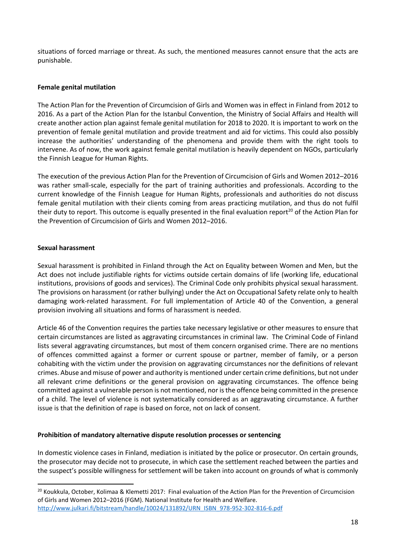situations of forced marriage or threat. As such, the mentioned measures cannot ensure that the acts are punishable.

## **Female genital mutilation**

The Action Plan for the Prevention of Circumcision of Girls and Women was in effect in Finland from 2012 to 2016. As a part of the Action Plan for the Istanbul Convention, the Ministry of Social Affairs and Health will create another action plan against female genital mutilation for 2018 to 2020. It is important to work on the prevention of female genital mutilation and provide treatment and aid for victims. This could also possibly increase the authorities' understanding of the phenomena and provide them with the right tools to intervene. As of now, the work against female genital mutilation is heavily dependent on NGOs, particularly the Finnish League for Human Rights.

The execution of the previous Action Plan for the Prevention of Circumcision of Girls and Women 2012–2016 was rather small-scale, especially for the part of training authorities and professionals. According to the current knowledge of the Finnish League for Human Rights, professionals and authorities do not discuss female genital mutilation with their clients coming from areas practicing mutilation, and thus do not fulfil their duty to report. This outcome is equally presented in the final evaluation report<sup>20</sup> of the Action Plan for the Prevention of Circumcision of Girls and Women 2012–2016.

#### **Sexual harassment**

**.** 

Sexual harassment is prohibited in Finland through the Act on Equality between Women and Men, but the Act does not include justifiable rights for victims outside certain domains of life (working life, educational institutions, provisions of goods and services). The Criminal Code only prohibits physical sexual harassment. The provisions on harassment (or rather bullying) under the Act on Occupational Safety relate only to health damaging work-related harassment. For full implementation of Article 40 of the Convention, a general provision involving all situations and forms of harassment is needed.

Article 46 of the Convention requires the parties take necessary legislative or other measures to ensure that certain circumstances are listed as aggravating circumstances in criminal law. The Criminal Code of Finland lists several aggravating circumstances, but most of them concern organised crime. There are no mentions of offences committed against a former or current spouse or partner, member of family, or a person cohabiting with the victim under the provision on aggravating circumstances nor the definitions of relevant crimes. Abuse and misuse of power and authority is mentioned under certain crime definitions, but not under all relevant crime definitions or the general provision on aggravating circumstances. The offence being committed against a vulnerable person is not mentioned, nor isthe offence being committed in the presence of a child. The level of violence is not systematically considered as an aggravating circumstance. A further issue is that the definition of rape is based on force, not on lack of consent.

#### **Prohibition of mandatory alternative dispute resolution processes or sentencing**

In domestic violence cases in Finland, mediation is initiated by the police or prosecutor. On certain grounds, the prosecutor may decide not to prosecute, in which case the settlement reached between the parties and the suspect's possible willingness for settlement will be taken into account on grounds of what is commonly

<sup>&</sup>lt;sup>20</sup> Koukkula, October, Kolimaa & Klemetti 2017: Final evaluation of the Action Plan for the Prevention of Circumcision of Girls and Women 2012–2016 (FGM). National Institute for Health and Welfare. [http://www.julkari.fi/bitstream/handle/10024/131892/URN\\_ISBN\\_978-952-302-816-6.pdf](http://www.julkari.fi/bitstream/handle/10024/131892/URN_ISBN_978-952-302-816-6.pdf)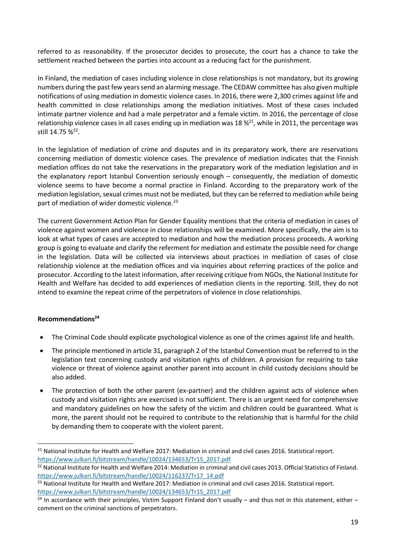referred to as reasonability. If the prosecutor decides to prosecute, the court has a chance to take the settlement reached between the parties into account as a reducing fact for the punishment.

In Finland, the mediation of cases including violence in close relationships is not mandatory, but its growing numbers during the past few years send an alarming message. The CEDAW committee has also given multiple notifications of using mediation in domestic violence cases. In 2016, there were 2,300 crimes against life and health committed in close relationships among the mediation initiatives. Most of these cases included intimate partner violence and had a male perpetrator and a female victim. In 2016, the percentage of close relationship violence cases in all cases ending up in mediation was 18 %<sup>21</sup>, while in 2011, the percentage was still 14.75 %<sup>22</sup>.

In the legislation of mediation of crime and disputes and in its preparatory work, there are reservations concerning mediation of domestic violence cases. The prevalence of mediation indicates that the Finnish mediation offices do not take the reservations in the preparatory work of the mediation legislation and in the explanatory report Istanbul Convention seriously enough – consequently, the mediation of domestic violence seems to have become a normal practice in Finland. According to the preparatory work of the mediation legislation, sexual crimes must not be mediated, but they can be referred to mediation while being part of mediation of wider domestic violence.<sup>23</sup>

The current Government Action Plan for Gender Equality mentions that the criteria of mediation in cases of violence against women and violence in close relationships will be examined. More specifically, the aim is to look at what types of cases are accepted to mediation and how the mediation process proceeds. A working group is going to evaluate and clarify the referment for mediation and estimate the possible need for change in the legislation. Data will be collected via interviews about practices in mediation of cases of close relationship violence at the mediation offices and via inquiries about referring practices of the police and prosecutor. According to the latest information, after receiving critique from NGOs, the National Institute for Health and Welfare has decided to add experiences of mediation clients in the reporting. Still, they do not intend to examine the repeat crime of the perpetrators of violence in close relationships.

# <span id="page-18-0"></span>**Recommendations<sup>24</sup>**

1

- The Criminal Code should explicate psychological violence as one of the crimes against life and health.
- The principle mentioned in article 31, paragraph 2 of the Istanbul Convention must be referred to in the legislation text concerning custody and visitation rights of children. A provision for requiring to take violence or threat of violence against another parent into account in child custody decisions should be also added.
- The protection of both the other parent (ex-partner) and the children against acts of violence when custody and visitation rights are exercised is not sufficient. There is an urgent need for comprehensive and mandatory guidelines on how the safety of the victim and children could be guaranteed. What is more, the parent should not be required to contribute to the relationship that is harmful for the child by demanding them to cooperate with the violent parent.

<sup>&</sup>lt;sup>21</sup> National Institute for Health and Welfare 2017: Mediation in criminal and civil cases 2016. Statistical report. [https://www.julkari.fi/bitstream/handle/10024/134653/Tr15\\_2017.pdf](https://www.julkari.fi/bitstream/handle/10024/134653/Tr15_2017.pdf)

<sup>&</sup>lt;sup>22</sup> National Institute for Health and Welfare 2014: Mediation in criminal and civil cases 2013. Official Statistics of Finland. [https://www.julkari.fi/bitstream/handle/10024/116237/Tr17\\_14.pdf](https://www.julkari.fi/bitstream/handle/10024/116237/Tr17_14.pdf)

 $^{23}$  National Institute for Health and Welfare 2017: Mediation in criminal and civil cases 2016. Statistical report. [https://www.julkari.fi/bitstream/handle/10024/134653/Tr15\\_2017.pdf](https://www.julkari.fi/bitstream/handle/10024/134653/Tr15_2017.pdf)

 $24$  In accordance with their principles, Victim Support Finland don't usually – and thus not in this statement, either – comment on the criminal sanctions of perpetrators.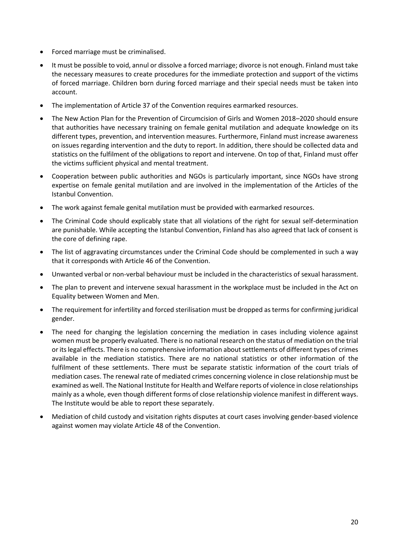- Forced marriage must be criminalised.
- It must be possible to void, annul or dissolve a forced marriage; divorce is not enough. Finland must take the necessary measures to create procedures for the immediate protection and support of the victims of forced marriage. Children born during forced marriage and their special needs must be taken into account.
- The implementation of Article 37 of the Convention requires earmarked resources.
- The New Action Plan for the Prevention of Circumcision of Girls and Women 2018–2020 should ensure that authorities have necessary training on female genital mutilation and adequate knowledge on its different types, prevention, and intervention measures. Furthermore, Finland must increase awareness on issues regarding intervention and the duty to report. In addition, there should be collected data and statistics on the fulfilment of the obligations to report and intervene. On top of that, Finland must offer the victims sufficient physical and mental treatment.
- Cooperation between public authorities and NGOs is particularly important, since NGOs have strong expertise on female genital mutilation and are involved in the implementation of the Articles of the Istanbul Convention.
- The work against female genital mutilation must be provided with earmarked resources.
- The Criminal Code should explicably state that all violations of the right for sexual self-determination are punishable. While accepting the Istanbul Convention, Finland has also agreed that lack of consent is the core of defining rape.
- The list of aggravating circumstances under the Criminal Code should be complemented in such a way that it corresponds with Article 46 of the Convention.
- Unwanted verbal or non-verbal behaviour must be included in the characteristics of sexual harassment.
- The plan to prevent and intervene sexual harassment in the workplace must be included in the Act on Equality between Women and Men.
- The requirement for infertility and forced sterilisation must be dropped as terms for confirming juridical gender.
- The need for changing the legislation concerning the mediation in cases including violence against women must be properly evaluated. There is no national research on the status of mediation on the trial or its legal effects. There is no comprehensive information about settlements of different types of crimes available in the mediation statistics. There are no national statistics or other information of the fulfilment of these settlements. There must be separate statistic information of the court trials of mediation cases. The renewal rate of mediated crimes concerning violence in close relationship must be examined as well. The National Institute for Health and Welfare reports of violence in close relationships mainly as a whole, even though different forms of close relationship violence manifest in different ways. The Institute would be able to report these separately.
- Mediation of child custody and visitation rights disputes at court cases involving gender-based violence against women may violate Article 48 of the Convention.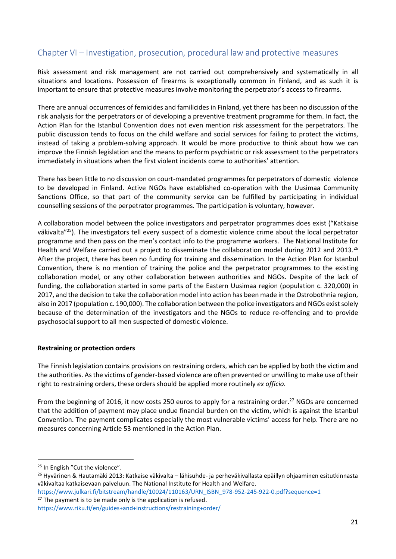# <span id="page-20-0"></span>Chapter VI – Investigation, prosecution, procedural law and protective measures

Risk assessment and risk management are not carried out comprehensively and systematically in all situations and locations. Possession of firearms is exceptionally common in Finland, and as such it is important to ensure that protective measures involve monitoring the perpetrator's access to firearms.

There are annual occurrences of femicides and familicides in Finland, yet there has been no discussion of the risk analysis for the perpetrators or of developing a preventive treatment programme for them. In fact, the Action Plan for the Istanbul Convention does not even mention risk assessment for the perpetrators. The public discussion tends to focus on the child welfare and social services for failing to protect the victims, instead of taking a problem-solving approach. It would be more productive to think about how we can improve the Finnish legislation and the means to perform psychiatric or risk assessment to the perpetrators immediately in situations when the first violent incidents come to authorities' attention.

There has been little to no discussion on court-mandated programmes for perpetrators of domestic violence to be developed in Finland. Active NGOs have established co-operation with the Uusimaa Community Sanctions Office, so that part of the community service can be fulfilled by participating in individual counselling sessions of the perpetrator programmes. The participation is voluntary, however.

A collaboration model between the police investigators and perpetrator programmes does exist ("Katkaise väkivalta"<sup>25</sup>). The investigators tell every suspect of a domestic violence crime about the local perpetrator programme and then pass on the men's contact info to the programme workers. The National Institute for Health and Welfare carried out a project to disseminate the collaboration model during 2012 and 2013.<sup>26</sup> After the project, there has been no funding for training and dissemination. In the Action Plan for Istanbul Convention, there is no mention of training the police and the perpetrator programmes to the existing collaboration model, or any other collaboration between authorities and NGOs. Despite of the lack of funding, the collaboration started in some parts of the Eastern Uusimaa region (population c. 320,000) in 2017, and the decision to take the collaboration model into action has been made in the Ostrobothnia region, also in 2017 (population c. 190,000). The collaboration between the police investigators and NGOs exist solely because of the determination of the investigators and the NGOs to reduce re-offending and to provide psychosocial support to all men suspected of domestic violence.

# **Restraining or protection orders**

The Finnish legislation contains provisions on restraining orders, which can be applied by both the victim and the authorities. As the victims of gender-based violence are often prevented or unwilling to make use of their right to restraining orders, these orders should be applied more routinely *ex officio*.

From the beginning of 2016, it now costs 250 euros to apply for a restraining order.<sup>27</sup> NGOs are concerned that the addition of payment may place undue financial burden on the victim, which is against the Istanbul Convention. The payment complicates especially the most vulnerable victims' access for help. There are no measures concerning Article 53 mentioned in the Action Plan.

1

 $27$  The payment is to be made only is the application is refused.

<sup>&</sup>lt;sup>25</sup> In English "Cut the violence".

<sup>26</sup> Hyvärinen & Hautamäki 2013: Katkaise väkivalta – lähisuhde- ja perheväkivallasta epäillyn ohjaaminen esitutkinnasta väkivaltaa katkaisevaan palveluun. The National Institute for Health and Welfare.

[https://www.julkari.fi/bitstream/handle/10024/110163/URN\\_ISBN\\_978-952-245-922-0.pdf?sequence=1](https://www.julkari.fi/bitstream/handle/10024/110163/URN_ISBN_978-952-245-922-0.pdf?sequence=1)

<https://www.riku.fi/en/guides+and+instructions/restraining+order/>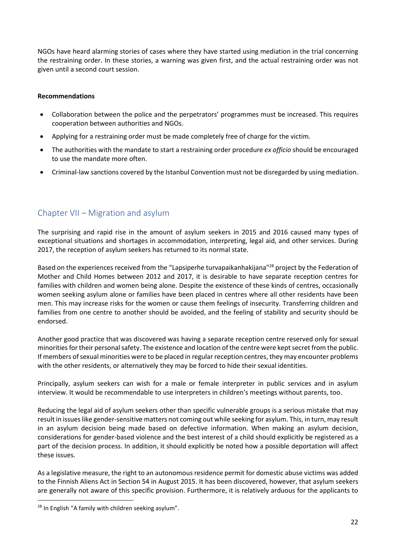NGOs have heard alarming stories of cases where they have started using mediation in the trial concerning the restraining order. In these stories, a warning was given first, and the actual restraining order was not given until a second court session.

## <span id="page-21-0"></span>**Recommendations**

- Collaboration between the police and the perpetrators' programmes must be increased. This requires cooperation between authorities and NGOs.
- Applying for a restraining order must be made completely free of charge for the victim.
- The authorities with the mandate to start a restraining order procedure *ex officio* should be encouraged to use the mandate more often.
- Criminal-law sanctions covered by the Istanbul Convention must not be disregarded by using mediation.

# <span id="page-21-1"></span>Chapter VII – Migration and asylum

The surprising and rapid rise in the amount of asylum seekers in 2015 and 2016 caused many types of exceptional situations and shortages in accommodation, interpreting, legal aid, and other services. During 2017, the reception of asylum seekers has returned to its normal state.

Based on the experiences received from the "Lapsiperhe turvapaikanhakijana"<sup>28</sup> project by the Federation of Mother and Child Homes between 2012 and 2017, it is desirable to have separate reception centres for families with children and women being alone. Despite the existence of these kinds of centres, occasionally women seeking asylum alone or families have been placed in centres where all other residents have been men. This may increase risks for the women or cause them feelings of insecurity. Transferring children and families from one centre to another should be avoided, and the feeling of stability and security should be endorsed.

Another good practice that was discovered was having a separate reception centre reserved only for sexual minorities for their personal safety. The existence and location of the centre were kept secret from the public. If members of sexual minorities were to be placed in regular reception centres, they may encounter problems with the other residents, or alternatively they may be forced to hide their sexual identities.

Principally, asylum seekers can wish for a male or female interpreter in public services and in asylum interview. It would be recommendable to use interpreters in children's meetings without parents, too.

Reducing the legal aid of asylum seekers other than specific vulnerable groups is a serious mistake that may result in issues like gender-sensitive matters not coming out while seeking for asylum. This, in turn, may result in an asylum decision being made based on defective information. When making an asylum decision, considerations for gender-based violence and the best interest of a child should explicitly be registered as a part of the decision process. In addition, it should explicitly be noted how a possible deportation will affect these issues.

As a legislative measure, the right to an autonomous residence permit for domestic abuse victims was added to the Finnish Aliens Act in Section 54 in August 2015. It has been discovered, however, that asylum seekers are generally not aware of this specific provision. Furthermore, it is relatively arduous for the applicants to

1

<sup>&</sup>lt;sup>28</sup> In English "A family with children seeking asylum".